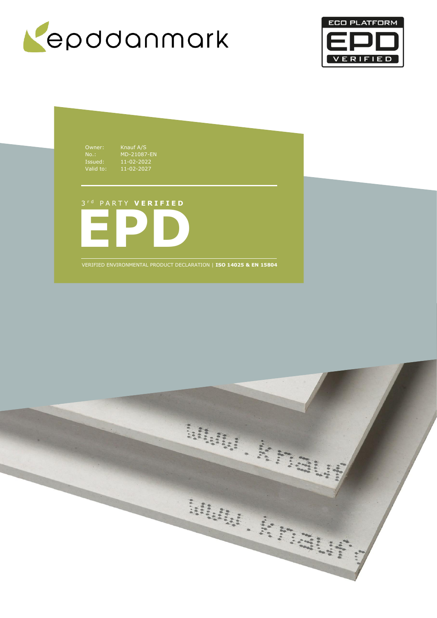



Owner: Knauf A/S<br>
No.: MD-21087<br>
Issued: 11-02-202<br>
Valid to: 11-02-202 Issued: 11-02-2022 Valid to: 11-02-2027

No.: MD-21087-EN

# 3 r d P A R T Y **V E R I F I E D**



VERIFIED ENVIRONMENTAL PRODUCT DECLARATION | **ISO 14025 & EN 15804**

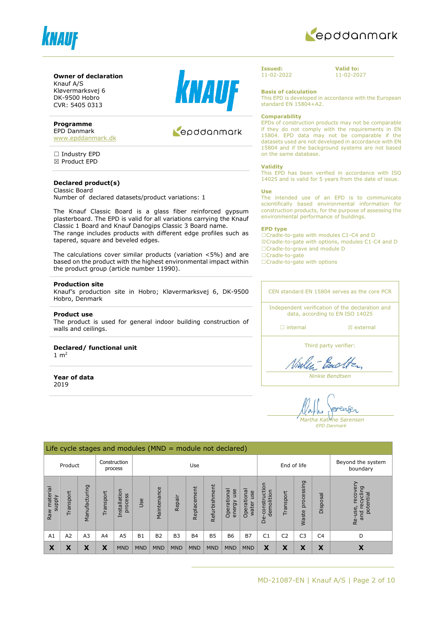



### **Owner of declaration**

Knauf A/S Kløvermarksvej 6 DK-9500 Hobro CVR: 5405 0313

#### **Programme**

EPD Danmark [www.epddanmark.dk](http://www.epddanmark.dk/)

□ Industry EPD ☒ Product EPD

#### **Declared product(s)** Classic Board

Number of declared datasets/product variations: 1

The Knauf Classic Board is a glass fiber reinforced gypsum plasterboard. The EPD is valid for all variations carrying the Knauf Classic 1 Board and Knauf Danogips Classic 3 Board name. The range includes products with different edge profiles such as tapered, square and beveled edges.

The calculations cover similar products (variation <5%) and are based on the product with the highest environmental impact within the product group (article number 11990).

#### **Production site**

Knauf's production site in Hobro; Kløvermarksvej 6, DK-9500 Hobro, Denmark

#### **Product use**

The product is used for general indoor building construction of walls and ceilings.

#### **Declared/ functional unit**

1  $m<sup>2</sup>$ 

**Year of data** 2019



# Repodanmark

**Issued:** 11-02-2022 **Valid to:** 11-02-2027

**Basis of calculation**

This EPD is developed in accordance with the European standard EN 15804+A2.

#### **Comparability**

EPDs of construction products may not be comparable if they do not comply with the requirements in EN 15804. EPD data may not be comparable if the datasets used are not developed in accordance with EN 15804 and if the background systems are not based on the same database.

#### **Validity**

This EPD has been verified in accordance with ISO 14025 and is valid for 5 years from the date of issue.

#### **Use**

The intended use of an EPD is to communicate scientifically based environmental information for construction products, for the purpose of assessing the environmental performance of buildings.

#### **EPD type**

☐Cradle-to-gate with modules C1-C4 and D ☒Cradle-to-gate with options, modules C1-C4 and D ☐Cradle-to-grave and module D ☐Cradle-to-gate

□Cradle-to-gate with options

CEN standard EN 15804 serves as the core PCR

Independent verification of the declaration and data, according to EN ISO 14025

□ internal **a** external

Third party verifier:

Vialent Bach

*Ninkie Bendtsen*

enser *Martha Katrine Sørensen*

*EPD Danmark*

|                                  | Life cycle stages and modules ( $MND =$ module not declared) |                |           |                         |            |                |                |             |               |                              |                             |                                 |                |                     |                |                                                     |
|----------------------------------|--------------------------------------------------------------|----------------|-----------|-------------------------|------------|----------------|----------------|-------------|---------------|------------------------------|-----------------------------|---------------------------------|----------------|---------------------|----------------|-----------------------------------------------------|
|                                  | Product                                                      |                |           | Construction<br>process |            |                |                | Use         | End of life   |                              |                             | Beyond the system<br>boundary   |                |                     |                |                                                     |
| material<br><b>Alddns</b><br>Raw | Transport                                                    | Manufacturing  | Transport | Installation<br>process | Jse        | Maintenance    | Repair         | Replacement | Refurbishment | Operational<br>use<br>energy | Operational<br>use<br>water | construction<br>demolition<br>த | Transport      | processing<br>Waste | Disposal       | recover<br>recycling<br>potential<br>Re-use,<br>and |
| A1                               | A2                                                           | A <sub>3</sub> | A4        | A <sub>5</sub>          | <b>B1</b>  | B <sub>2</sub> | B <sub>3</sub> | <b>B4</b>   | <b>B5</b>     | <b>B6</b>                    | <b>B7</b>                   | C <sub>1</sub>                  | C <sub>2</sub> | C <sub>3</sub>      | C <sub>4</sub> | D                                                   |
| X                                | X                                                            | X              | Χ         | <b>MND</b>              | <b>MND</b> | <b>MND</b>     | <b>MND</b>     | <b>MND</b>  | <b>MND</b>    | <b>MND</b>                   | <b>MND</b>                  | X                               | X              | X                   | Х              | X                                                   |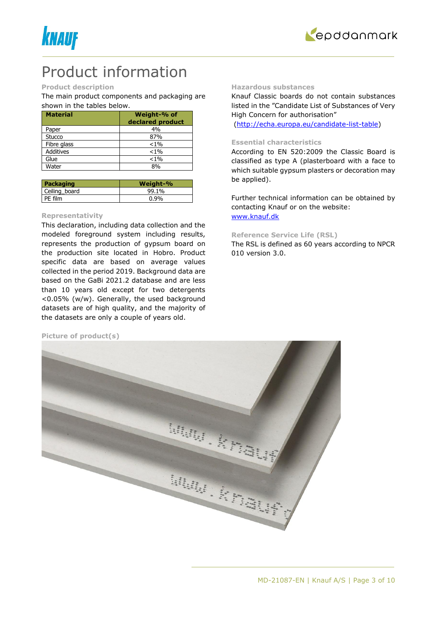



# Product information

### **Product description**

The main product components and packaging are shown in the tables below.

| <b>Material</b>  | Weight-% of      |
|------------------|------------------|
|                  | declared product |
| Paper            | 4%               |
| Stucco           | 87%              |
| Fibre glass      | $< 1\%$          |
| <b>Additives</b> | $< 1\%$          |
| Glue             | $< 1\%$          |
| Water            | 80/              |

| Packaging     | Weight-% |
|---------------|----------|
| Ceiling board | 99.1%    |
| PE film       | $0.9\%$  |

#### **Representativity**

This declaration, including data collection and the modeled foreground system including results, represents the production of gypsum board on the production site located in Hobro. Product specific data are based on average values collected in the period 2019. Background data are based on the GaBi 2021.2 database and are less than 10 years old except for two detergents <0.05% (w/w). Generally, the used background datasets are of high quality, and the majority of the datasets are only a couple of years old.

#### **Picture of product(s)**

#### **Hazardous substances**

Knauf Classic boards do not contain substances listed in the "Candidate List of Substances of Very High Concern for authorisation"

[\(http://echa.europa.eu/candidate-list-table\)](http://echa.europa.eu/candidate-list-table)

### **Essential characteristics**

According to EN 520:2009 the Classic Board is classified as type A (plasterboard with a face to which suitable gypsum plasters or decoration may be applied).

Further technical information can be obtained by contacting Knauf or on the website: [www.knauf.dk](http://www.knauf.dk/)

#### **Reference Service Life (RSL)**

The RSL is defined as 60 years according to NPCR 010 version 3.0.

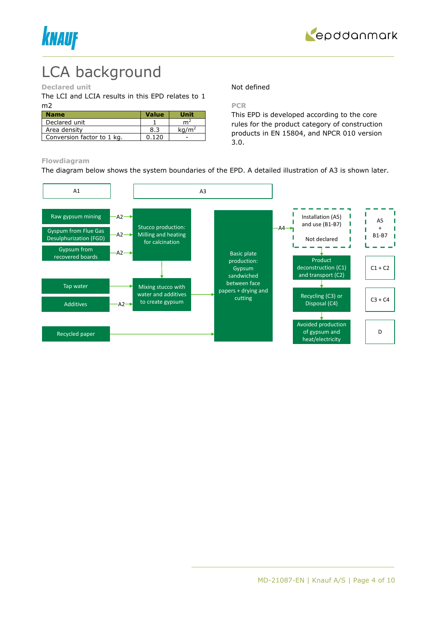



# LCA background

#### **Declared unit**

The LCI and LCIA results in this EPD relates to 1 m2

| <b>Name</b>                | <b>Value</b> | Unit              |
|----------------------------|--------------|-------------------|
| Declared unit              |              | m <sup>2</sup>    |
| Area density               | 8.3          | kq/m <sup>2</sup> |
| Conversion factor to 1 kg. | በ 17በ        |                   |

Not defined

#### **PCR**

This EPD is developed according to the core rules for the product category of construction products in EN 15804, and NPCR 010 version 3.0.

#### **Flowdiagram**

The diagram below shows the system boundaries of the EPD. A detailed illustration of A3 is shown later.

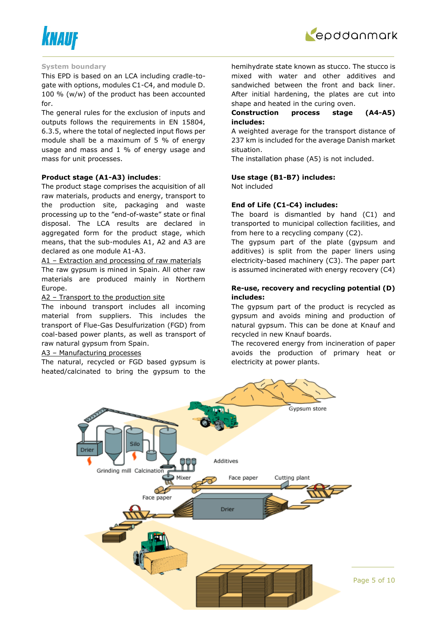



#### **System boundary**

This EPD is based on an LCA including cradle-togate with options, modules C1-C4, and module D. 100 % (w/w) of the product has been accounted for.

The general rules for the exclusion of inputs and outputs follows the requirements in EN 15804, 6.3.5, where the total of neglected input flows per module shall be a maximum of 5 % of energy usage and mass and 1 % of energy usage and mass for unit processes.

#### **Product stage (A1-A3) includes**:

The product stage comprises the acquisition of all raw materials, products and energy, transport to the production site, packaging and waste processing up to the "end-of-waste" state or final disposal. The LCA results are declared in aggregated form for the product stage, which means, that the sub-modules A1, A2 and A3 are declared as one module A1-A3.

A1 – Extraction and processing of raw materials The raw gypsum is mined in Spain. All other raw materials are produced mainly in Northern Europe.

#### A2 - Transport to the production site

The inbound transport includes all incoming material from suppliers. This includes the transport of Flue-Gas Desulfurization (FGD) from coal-based power plants, as well as transport of raw natural gypsum from Spain.

#### A3 – Manufacturing processes

The natural, recycled or FGD based gypsum is heated/calcinated to bring the gypsum to the

hemihydrate state known as stucco. The stucco is mixed with water and other additives and sandwiched between the front and back liner. After initial hardening, the plates are cut into shape and heated in the curing oven.

### **Construction process stage (A4-A5) includes:**

A weighted average for the transport distance of 237 km is included for the average Danish market situation.

The installation phase (A5) is not included.

#### **Use stage (B1-B7) includes:**

Not included

#### **End of Life (C1-C4) includes:**

The board is dismantled by hand (C1) and transported to municipal collection facilities, and from here to a recycling company (C2).

The gypsum part of the plate (gypsum and additives) is split from the paper liners using electricity-based machinery (C3). The paper part is assumed incinerated with energy recovery (C4)

#### **Re-use, recovery and recycling potential (D) includes:**

The gypsum part of the product is recycled as gypsum and avoids mining and production of natural gypsum. This can be done at Knauf and recycled in new Knauf boards.

The recovered energy from incineration of paper avoids the production of primary heat or electricity at power plants.

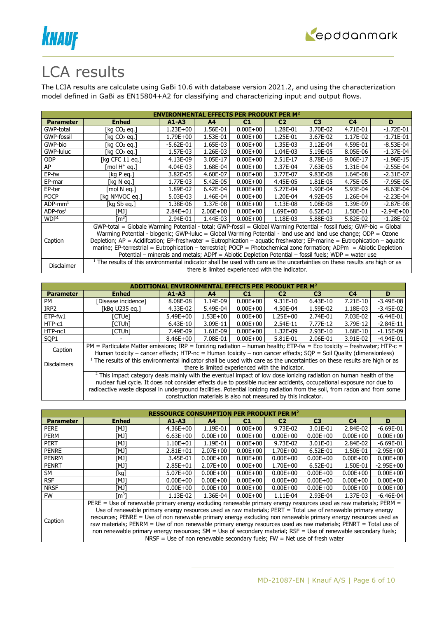



# LCA results

The LCIA results are calculate using GaBi 10.6 with database version 2021.2, and using the characterization model defined in GaBi as EN15804+A2 for classifying and characterizing input and output flows.

| <b>ENVIRONMENTAL EFFECTS PER PRODUKT PER M<sup>2</sup></b> |                                                                                                                                       |             |                |                                                  |                |                |                                                                                                     |               |  |  |
|------------------------------------------------------------|---------------------------------------------------------------------------------------------------------------------------------------|-------------|----------------|--------------------------------------------------|----------------|----------------|-----------------------------------------------------------------------------------------------------|---------------|--|--|
| <b>Parameter</b>                                           | <b>Enhed</b>                                                                                                                          | $A1 - A3$   | A <sub>4</sub> | C1                                               | C <sub>2</sub> | C <sub>3</sub> | C <sub>4</sub>                                                                                      | D             |  |  |
| GWP-total                                                  | [kg CO2 eg.]                                                                                                                          | 1.23E+00    | 1.56E-01       | $0.00E + 00$                                     | 1.28E-01       | 3.70E-02       | 4.71E-01                                                                                            | $-1.72E-01$   |  |  |
| GWP-fossil                                                 | [kg CO2 eg.]                                                                                                                          | 1.79E+00    | 1.53E-01       | $0.00E + 00$                                     | 1.25E-01       | 3.67E-02       | 1.17E-02                                                                                            | $-1.71E-01$   |  |  |
| GWP-bio                                                    | [kg CO2 eg.]                                                                                                                          | $-5.62E-01$ | 1.65E-03       | $0.00E + 00$                                     | 1.35E-03       | 3.12E-04       | 4.59E-01                                                                                            | $-8.53E-04$   |  |  |
| GWP-luluc                                                  | [kg CO2 eg.]                                                                                                                          | 1.57E-03    | 1.26E-03       | $0.00E + 00$                                     | 1.04E-03       | 5.19E-05       | 8.05E-06                                                                                            | $-1.37E-04$   |  |  |
| <b>ODP</b>                                                 | [kg CFC 11 eq.]                                                                                                                       | 4.13E-09    | 3.05E-17       | $0.00E + 00$                                     | 2.51E-17       | 8.78E-16       | 9.06E-17                                                                                            | $-1.96E-15$   |  |  |
| AP                                                         | [mol H <sup>+</sup> eq.]                                                                                                              | 4.04E-03    | 1.68E-04       | $0.00E + 00$                                     | 1.37E-04       | 7.63E-05       | 1.31E-04                                                                                            | $-2.55E-04$   |  |  |
| EP-fw                                                      | [kg P eq.]                                                                                                                            | 3.82E-05    | 4.60E-07       | $0.00E + 00$                                     | 3.77E-07       | 9.83E-08       | 1.64E-08                                                                                            | $-2.31E-07$   |  |  |
| EP-mar                                                     | [kg N eg.]                                                                                                                            | 1.77E-03    | 5.42E-05       | $0.00E + 00$                                     | 4.45E-05       | 1.81E-05       | 4.75E-05                                                                                            | $-7.95E - 05$ |  |  |
| EP-ter                                                     | [mol N ea.]                                                                                                                           | 1.89E-02    | 6.42E-04       | $0.00E + 00$                                     | 5.27E-04       | 1.90E-04       | 5.93E-04                                                                                            | $-8.63E-04$   |  |  |
| <b>POCP</b>                                                | [kg NMVOC eg.]                                                                                                                        | 5.03E-03    | 1.46E-04       | $0.00E + 00$                                     | 1.20E-04       | 4.92E-05       | 1.26E-04                                                                                            | $-2.23E-04$   |  |  |
| $ADP$ -mm <sup>1</sup>                                     | [kg Sb eg.]                                                                                                                           | 1.38E-06    | 1.37E-08       | $0.00E + 00$                                     | 1.13E-08       | 1.08E-08       | 1.39E-09                                                                                            | $-2.87E-08$   |  |  |
| $ADP$ -fos $1$                                             | [MJ]                                                                                                                                  | 2.84E+01    | $2.06E + 00$   | $0.00E + 00$                                     | $1.69E + 00$   | $6.52E-01$     | 1.50E-01                                                                                            | $-2.94E + 00$ |  |  |
| WDP <sup>1</sup>                                           | rm31                                                                                                                                  | 2.94E-01    | 1.44E-03       | $0.00E + 00$                                     | 1.18E-03       | 5.88E-03       | 5.82E-02                                                                                            | $-1.28E-02$   |  |  |
|                                                            | GWP-total = Globale Warming Potential - total; GWP-fossil = Global Warming Potential - fossil fuels; GWP-bio = Global                 |             |                |                                                  |                |                |                                                                                                     |               |  |  |
|                                                            | Warming Potential - biogenic; GWP-luluc = Global Warming Potential - land use and land use change; ODP = Ozone                        |             |                |                                                  |                |                |                                                                                                     |               |  |  |
| Caption                                                    | Depletion; AP = Acidifcation; EP-freshwater = Eutrophication - aquatic freshwater; EP-marine = Eutrophication - aquatic               |             |                |                                                  |                |                |                                                                                                     |               |  |  |
|                                                            | marine; EP-terrestrial = Eutrophication - terrestrial; POCP = Photochemical zone formation; ADPm = Abiotic Depletion                  |             |                |                                                  |                |                |                                                                                                     |               |  |  |
|                                                            |                                                                                                                                       |             |                |                                                  |                |                |                                                                                                     |               |  |  |
|                                                            | <sup>1</sup> The results of this environmental indicator shall be used with care as the uncertainties on these results are high or as |             |                |                                                  |                |                | Potential - minerals and metals; ADPf = Abiotic Depletion Potential - fossil fuels; WDP = water use |               |  |  |
| Disclaimer                                                 |                                                                                                                                       |             |                | there is limited experienced with the indicator. |                |                |                                                                                                     |               |  |  |

|                    | <b>EFFECTS PER PRODUKT PER M<sup>2</sup></b>                                                                                  |              |                                                                |                |                |                                                                                                                                                                                                                                                     |                |               |  |  |
|--------------------|-------------------------------------------------------------------------------------------------------------------------------|--------------|----------------------------------------------------------------|----------------|----------------|-----------------------------------------------------------------------------------------------------------------------------------------------------------------------------------------------------------------------------------------------------|----------------|---------------|--|--|
| <b>Parameter</b>   | <b>Enhed</b>                                                                                                                  | $A1 - A3$    | A <sub>4</sub>                                                 | C <sub>1</sub> | C <sub>2</sub> | C <sub>3</sub>                                                                                                                                                                                                                                      | C <sub>4</sub> | D             |  |  |
| PM                 | [Disease incidence]                                                                                                           | 8.08E-08     | 1.14E-09                                                       | $0.00E + 00$   | $9.31E-10$     | $6.43E-10$                                                                                                                                                                                                                                          | 7.21E-10       | $-3.49E-08$   |  |  |
| IRP <sub>2</sub>   | [kBq U235 eq.]                                                                                                                | 4.33E-02     | 5.49E-04                                                       | $0.00E + 00$   | 4.50E-04       | 1.59E-02                                                                                                                                                                                                                                            | 1.18E-03       | $-3.45E-02$   |  |  |
| $ETP-fw1$          | [CTUe]                                                                                                                        | $5.49E + 00$ | $1.53E+00$                                                     | $0.00E + 00$   | $1.25E + 00$   | 2.74E-01                                                                                                                                                                                                                                            | 7.03E-02       | $-6.44E - 01$ |  |  |
| HTP-c1             | [CTUh]                                                                                                                        | $6.43E-10$   | 3.09E-11                                                       | $0.00E + 00$   | 2.54E-11       | 7.77E-12                                                                                                                                                                                                                                            | 3.79E-12       | $-2.84E-11$   |  |  |
| HTP-nc1            | [CTUh]                                                                                                                        | 7.49E-09     | 1.61E-09                                                       | $0.00E + 00$   | 1.32E-09       | $2.93E-10$                                                                                                                                                                                                                                          | 1.68E-10       | $-1.15E-09$   |  |  |
| SOP <sub>1</sub>   |                                                                                                                               | $8.46E + 00$ | 7.08E-01                                                       | $0.00E + 00$   | $5.81E-01$     | 2.06E-01                                                                                                                                                                                                                                            | 3.91E-02       | $-4.94E - 01$ |  |  |
| Caption            | PM = Particulate Matter emissions; IRP = Ionizing radiation – human health; ETP-fw = Eco toxicity – freshwater; HTP-c =       |              |                                                                |                |                |                                                                                                                                                                                                                                                     |                |               |  |  |
|                    |                                                                                                                               |              |                                                                |                |                | Human toxicity – cancer effects; HTP-nc = Human toxicity – non cancer effects; $SOP =$ Soil Quality (dimensionless)<br>$1$ The results of this environmental indicator shall be used with care as the uncertainties on these results are high or as |                |               |  |  |
| <b>Disclaimers</b> |                                                                                                                               |              |                                                                |                |                |                                                                                                                                                                                                                                                     |                |               |  |  |
|                    |                                                                                                                               |              | there is limited experienced with the indicator.               |                |                |                                                                                                                                                                                                                                                     |                |               |  |  |
|                    | <sup>2</sup> This impact category deals mainly with the eventual impact of low dose ionizing radiation on human health of the |              |                                                                |                |                |                                                                                                                                                                                                                                                     |                |               |  |  |
|                    | nuclear fuel cycle. It does not consider effects due to possible nuclear accidents, occupational exposure nor due to          |              |                                                                |                |                |                                                                                                                                                                                                                                                     |                |               |  |  |
|                    | radioactive waste disposal in underground facilities. Potential ionizing radiation from the soil, from radon and from some    |              |                                                                |                |                |                                                                                                                                                                                                                                                     |                |               |  |  |
|                    |                                                                                                                               |              | construction materials is also not measured by this indicator. |                |                |                                                                                                                                                                                                                                                     |                |               |  |  |

|                  | <b>RESSOURCE CONSUMPTION PER PRODUKT</b>                                                                          |              |                |              |                                                                            |                |                |              |  |  |
|------------------|-------------------------------------------------------------------------------------------------------------------|--------------|----------------|--------------|----------------------------------------------------------------------------|----------------|----------------|--------------|--|--|
| <b>Parameter</b> | <b>Enhed</b>                                                                                                      | $A1 - A3$    | A <sub>4</sub> | C1           | C <sub>2</sub>                                                             | C <sub>3</sub> | C <sub>4</sub> | D            |  |  |
| <b>PERE</b>      | [MJ]                                                                                                              | $4.36E + 00$ | 1.19E-01       | $0.00E + 00$ | 9.73E-02                                                                   | 3.01E-01       | 2.84E-02       | $-6.69E-01$  |  |  |
| <b>PERM</b>      | [MJ]                                                                                                              | $6.63E + 00$ | $0.00E + 00$   | $0.00E + 00$ | $0.00E + 00$                                                               | $0.00E + 00$   | $0.00E + 00$   | $0.00E + 00$ |  |  |
| <b>PERT</b>      | [MJ]                                                                                                              | $1.10E + 01$ | 1.19E-01       | $0.00E + 00$ | 9.73E-02                                                                   | 3.01E-01       | 2.84E-02       | $-6.69E-01$  |  |  |
| <b>PENRE</b>     | [MJ]                                                                                                              | $2.81E + 01$ | $2.07E + 00$   | $0.00E + 00$ | $1.70E + 00$                                                               | 6.52E-01       | 1.50E-01       | $-2.95E+00$  |  |  |
| <b>PENRM</b>     | TMJ1                                                                                                              | 3.45E-01     | $0.00E + 00$   | $0.00E + 00$ | $0.00E + 00$                                                               | $0.00E + 00$   | $0.00E + 00$   | $0.00E + 00$ |  |  |
| <b>PENRT</b>     | [MJ]                                                                                                              | $2.85E + 01$ | $2.07E + 00$   | $0.00E + 00$ | $1.70E + 00$                                                               | 6.52E-01       | 1.50E-01       | $-2.95E+00$  |  |  |
| SM               | [kg]                                                                                                              | $5.07E+00$   | $0.00E + 00$   | $0.00E + 00$ | $0.00E + 00$                                                               | $0.00E + 00$   | $0.00E + 00$   | $0.00E + 00$ |  |  |
| <b>RSF</b>       | TMJ1                                                                                                              | $0.00E + 00$ | $0.00E + 00$   | $0.00E + 00$ | $0.00E + 00$                                                               | $0.00E + 00$   | $0.00E + 00$   | $0.00E + 00$ |  |  |
| <b>NRSF</b>      | TMJ1                                                                                                              | $0.00E + 00$ | $0.00E + 00$   | $0.00E + 00$ | $0.00E + 00$                                                               | $0.00E + 00$   | $0.00E + 00$   | $0.00E + 00$ |  |  |
| <b>FW</b>        | $\mathsf{Im}^3 \mathsf{l}$                                                                                        | 1.13E-02     | 1.36E-04       | $0.00E + 00$ | 1.11E-04                                                                   | 2.93E-04       | 1.37E-03       | $-6.46E-04$  |  |  |
|                  | PERE = Use of renewable primary energy excluding renewable primary energy resources used as raw materials; PERM = |              |                |              |                                                                            |                |                |              |  |  |
|                  | Use of renewable primary energy resources used as raw materials; PERT = Total use of renewable primary energy     |              |                |              |                                                                            |                |                |              |  |  |
|                  | resources; PENRE = Use of non renewable primary energy excluding non renewable primary energy resources used as   |              |                |              |                                                                            |                |                |              |  |  |
| Caption          | raw materials; PENRM = Use of non renewable primary energy resources used as raw materials; PENRT = Total use of  |              |                |              |                                                                            |                |                |              |  |  |
|                  | non renewable primary energy resources; SM = Use of secondary material; RSF = Use of renewable secondary fuels;   |              |                |              |                                                                            |                |                |              |  |  |
|                  |                                                                                                                   |              |                |              | NRSF = Use of non renewable secondary fuels; $FW = Net$ use of fresh water |                |                |              |  |  |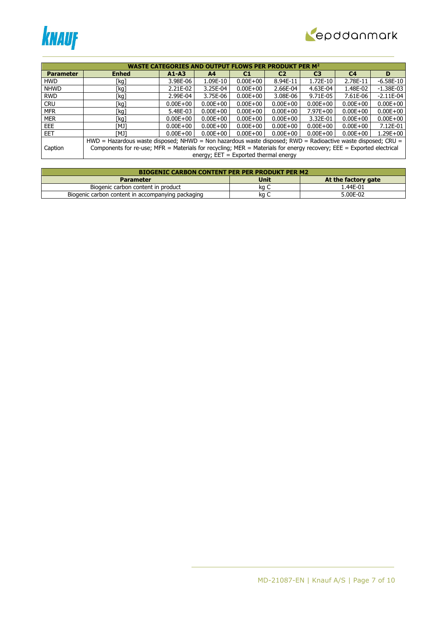



|                  | <b>WASTE CATEGORIES AND OUTPUT FLOWS PER PRODUKT PER M<sup>2</sup></b>                                               |              |                                         |              |                |                |                |              |  |  |
|------------------|----------------------------------------------------------------------------------------------------------------------|--------------|-----------------------------------------|--------------|----------------|----------------|----------------|--------------|--|--|
| <b>Parameter</b> | <b>Enhed</b>                                                                                                         | $A1 - A3$    | A <sub>4</sub>                          | C1           | C <sub>2</sub> | C <sub>3</sub> | C <sub>4</sub> | D            |  |  |
| <b>HWD</b>       | [kg]                                                                                                                 | 3.98E-06     | 1.09E-10                                | $0.00E + 00$ | 8.94E-11       | 1.72E-10       | 2.78E-11       | $-6.58E-10$  |  |  |
| <b>NHWD</b>      | [kg]                                                                                                                 | 2.21E-02     | 3.25E-04                                | $0.00E + 00$ | 2.66E-04       | 4.63E-04       | 1.48E-02       | $-1.38E-03$  |  |  |
| <b>RWD</b>       | [kg]                                                                                                                 | 2.99E-04     | 3.75E-06                                | $0.00E + 00$ | 3.08E-06       | 9.71E-05       | 7.61E-06       | $-2.11E-04$  |  |  |
| <b>CRU</b>       | [kg]                                                                                                                 | $0.00E + 00$ | $0.00E + 00$                            | $0.00E + 00$ | $0.00E + 00$   | $0.00E + 00$   | $0.00E + 00$   | $0.00E + 00$ |  |  |
| <b>MFR</b>       | [kg]                                                                                                                 | 5.48E-03     | $0.00E + 00$                            | $0.00E + 00$ | $0.00E + 00$   | $7.97E + 00$   | $0.00E + 00$   | $0.00E + 00$ |  |  |
| <b>MER</b>       | [kg]                                                                                                                 | $0.00E + 00$ | $0.00E + 00$                            | $0.00E + 00$ | $0.00E + 00$   | 3.32E-01       | $0.00E + 00$   | $0.00E + 00$ |  |  |
| <b>EEE</b>       | TMJ1                                                                                                                 | $0.00E + 00$ | $0.00E + 00$                            | $0.00E + 00$ | $0.00E + 00$   | $0.00E + 00$   | $0.00E + 00$   | 7.12E-01     |  |  |
| <b>EET</b>       | [MJ]                                                                                                                 | $0.00E + 00$ | $0.00E + 00$                            | $0.00E + 00$ | $0.00E + 00$   | $0.00E + 00$   | $0.00E + 00$   | $1.29E + 00$ |  |  |
|                  | $HWD =$ Hazardous waste disposed; NHWD = Non hazardous waste disposed; RWD = Radioactive waste disposed; CRU =       |              |                                         |              |                |                |                |              |  |  |
| Caption          | Components for re-use; MFR = Materials for recycling; MER = Materials for energy recovery; EEE = Exported electrical |              |                                         |              |                |                |                |              |  |  |
|                  |                                                                                                                      |              | energy; $EET = Exported thermal energy$ |              |                |                |                |              |  |  |

| <b>BIOGENIC CARBON CONTENT PER PER PRODUKT PER M2</b> |             |                     |  |  |  |  |  |  |
|-------------------------------------------------------|-------------|---------------------|--|--|--|--|--|--|
| <b>Parameter</b>                                      | <b>Unit</b> | At the factory gate |  |  |  |  |  |  |
| Biogenic carbon content in product                    | ka C        | 1.44E-01            |  |  |  |  |  |  |
| Biogenic carbon content in accompanying packaging     | ĸa          | 5.00E-02            |  |  |  |  |  |  |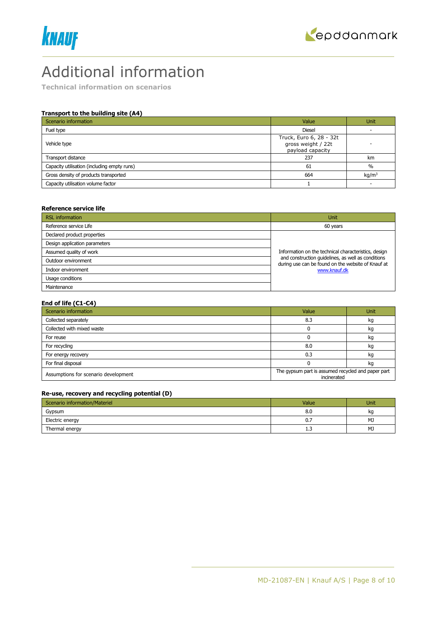



# Additional information

**Technical information on scenarios**

### **Transport to the building site (A4)**

| Scenario information                        | Value                                                             | <b>Unit</b>       |
|---------------------------------------------|-------------------------------------------------------------------|-------------------|
| Fuel type                                   | <b>Diesel</b>                                                     |                   |
| Vehicle type                                | Truck, Euro 6, 28 - 32t<br>gross weight / 22t<br>payload capacity |                   |
| Transport distance                          | 237                                                               | km                |
| Capacity utilisation (including empty runs) | 61                                                                | $\%$              |
| Gross density of products transported       | 664                                                               | kg/m <sup>3</sup> |
| Capacity utilisation volume factor          |                                                                   |                   |

#### **Reference service life**

| <b>RSL</b> information        | <b>Unit</b>                                                                                              |  |  |
|-------------------------------|----------------------------------------------------------------------------------------------------------|--|--|
| Reference service Life        | 60 years                                                                                                 |  |  |
| Declared product properties   |                                                                                                          |  |  |
| Design application parameters |                                                                                                          |  |  |
| Assumed quality of work       | Information on the technical characteristics, design                                                     |  |  |
| Outdoor environment           | and construction quidelines, as well as conditions<br>during use can be found on the website of Knauf at |  |  |
| Indoor environment            | www.knauf.dk                                                                                             |  |  |
| Usage conditions              |                                                                                                          |  |  |
| Maintenance                   |                                                                                                          |  |  |

#### **End of life (C1-C4)**

| Scenario information                 | Value                                                             | Unit |
|--------------------------------------|-------------------------------------------------------------------|------|
| Collected separately                 | 8.3                                                               | kg   |
| Collected with mixed waste           |                                                                   | kg   |
| For reuse                            |                                                                   | kg   |
| For recycling                        | 8.0                                                               | kq   |
| For energy recovery                  | 0.3                                                               | kg   |
| For final disposal                   |                                                                   | kg   |
| Assumptions for scenario development | The gypsum part is assumed recycled and paper part<br>incinerated |      |

## **Re-use, recovery and recycling potential (D)**

| Scenario information/Materiel | Value | Unit |
|-------------------------------|-------|------|
| Gypsum                        | 8.0   | kg   |
| Electric energy               | 0.7   | MJ   |
| Thermal energy                | 1.3   | MJ   |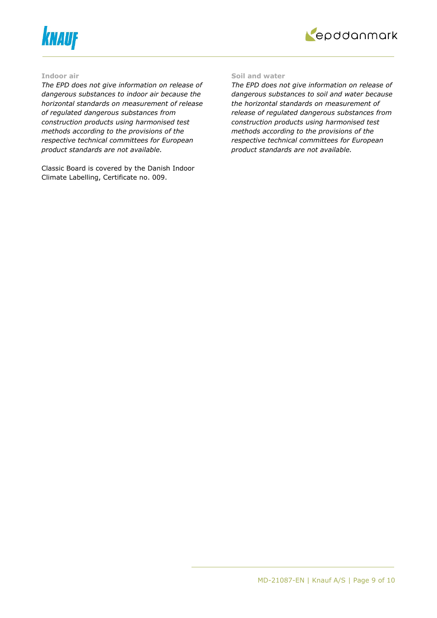



#### **Indoor air**

*The EPD does not give information on release of dangerous substances to indoor air because the horizontal standards on measurement of release of regulated dangerous substances from construction products using harmonised test methods according to the provisions of the respective technical committees for European product standards are not available.*

Classic Board is covered by the Danish Indoor Climate Labelling, Certificate no. 009.

#### **Soil and water**

*The EPD does not give information on release of dangerous substances to soil and water because the horizontal standards on measurement of release of regulated dangerous substances from construction products using harmonised test methods according to the provisions of the respective technical committees for European product standards are not available.*